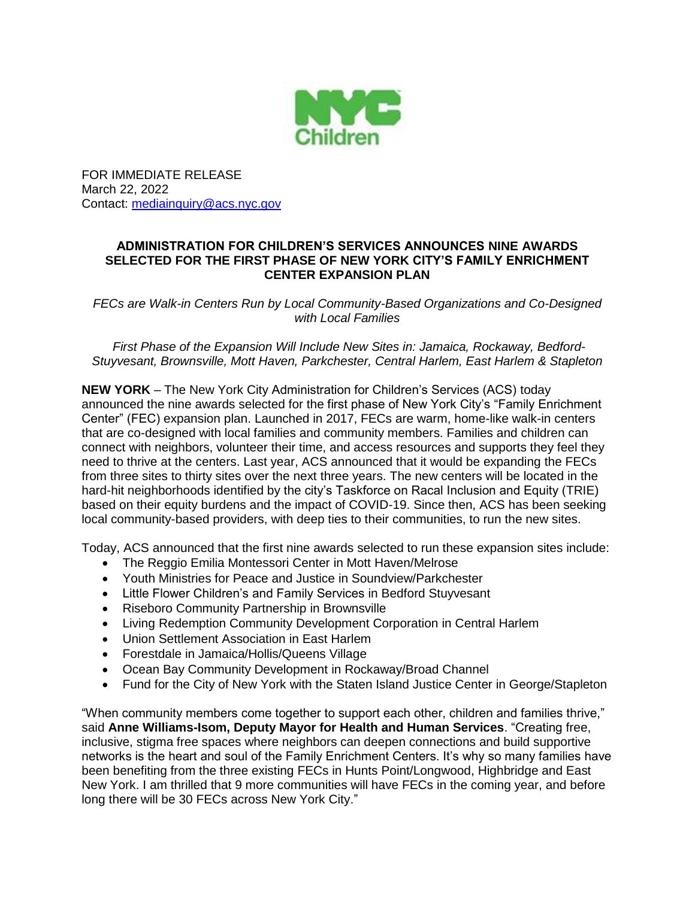

FOR IMMEDIATE RELEASE March 22, 2022 Contact: [mediainquiry@acs.nyc.gov](mailto:mediainquiry@acs.nyc.gov)

## **ADMINISTRATION FOR CHILDREN'S SERVICES ANNOUNCES NINE AWARDS SELECTED FOR THE FIRST PHASE OF NEW YORK CITY'S FAMILY ENRICHMENT CENTER EXPANSION PLAN**

*FECs are Walk-in Centers Run by Local Community-Based Organizations and Co-Designed with Local Families*

*First Phase of the Expansion Will Include New Sites in: Jamaica, Rockaway, Bedford-Stuyvesant, Brownsville, Mott Haven, Parkchester, Central Harlem, East Harlem & Stapleton*

**NEW YORK** – The New York City Administration for Children's Services (ACS) today announced the nine awards selected for the first phase of New York City's "Family Enrichment Center" (FEC) expansion plan. Launched in 2017, FECs are warm, home-like walk-in centers that are co-designed with local families and community members. Families and children can connect with neighbors, volunteer their time, and access resources and supports they feel they need to thrive at the centers. Last year, ACS announced that it would be expanding the FECs from three sites to thirty sites over the next three years. The new centers will be located in the hard-hit neighborhoods identified by the city's Taskforce on Racal Inclusion and Equity (TRIE) based on their equity burdens and the impact of COVID-19. Since then, ACS has been seeking local community-based providers, with deep ties to their communities, to run the new sites.

Today, ACS announced that the first nine awards selected to run these expansion sites include:

- The Reggio Emilia Montessori Center in Mott Haven/Melrose
- Youth Ministries for Peace and Justice in Soundview/Parkchester
- Little Flower Children's and Family Services in Bedford Stuyvesant
- Riseboro Community Partnership in Brownsville
- Living Redemption Community Development Corporation in Central Harlem
- Union Settlement Association in East Harlem
- Forestdale in Jamaica/Hollis/Queens Village
- Ocean Bay Community Development in Rockaway/Broad Channel
- Fund for the City of New York with the Staten Island Justice Center in George/Stapleton

"When community members come together to support each other, children and families thrive," said **Anne Williams-Isom, Deputy Mayor for Health and Human Services**. "Creating free, inclusive, stigma free spaces where neighbors can deepen connections and build supportive networks is the heart and soul of the Family Enrichment Centers. It's why so many families have been benefiting from the three existing FECs in Hunts Point/Longwood, Highbridge and East New York. I am thrilled that 9 more communities will have FECs in the coming year, and before long there will be 30 FECs across New York City."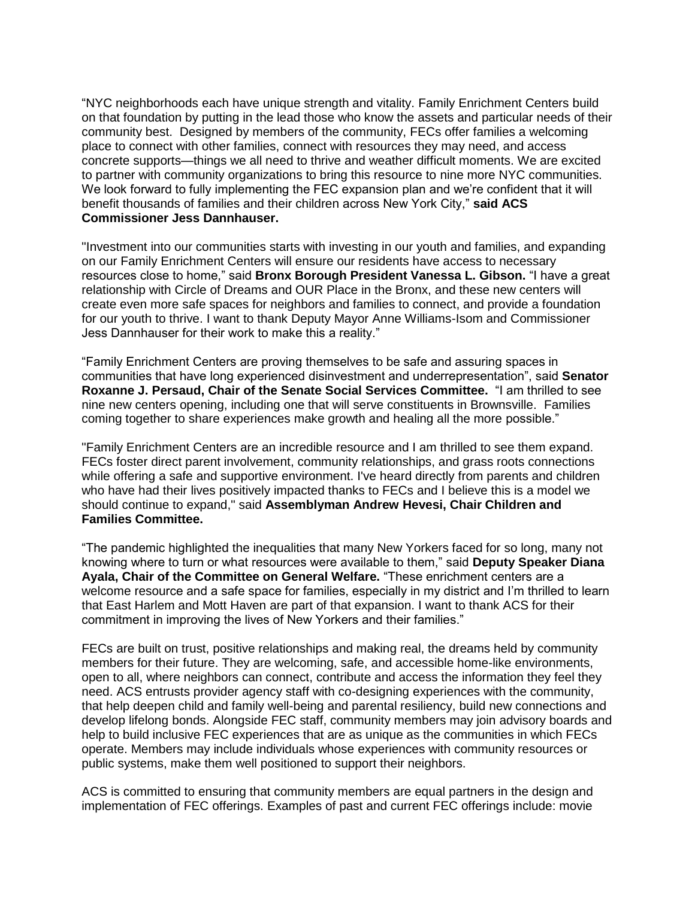"NYC neighborhoods each have unique strength and vitality. Family Enrichment Centers build on that foundation by putting in the lead those who know the assets and particular needs of their community best. Designed by members of the community, FECs offer families a welcoming place to connect with other families, connect with resources they may need, and access concrete supports—things we all need to thrive and weather difficult moments. We are excited to partner with community organizations to bring this resource to nine more NYC communities. We look forward to fully implementing the FEC expansion plan and we're confident that it will benefit thousands of families and their children across New York City," **said ACS Commissioner Jess Dannhauser.**

"Investment into our communities starts with investing in our youth and families, and expanding on our Family Enrichment Centers will ensure our residents have access to necessary resources close to home," said **Bronx Borough President Vanessa L. Gibson.** "I have a great relationship with Circle of Dreams and OUR Place in the Bronx, and these new centers will create even more safe spaces for neighbors and families to connect, and provide a foundation for our youth to thrive. I want to thank Deputy Mayor Anne Williams-Isom and Commissioner Jess Dannhauser for their work to make this a reality."

"Family Enrichment Centers are proving themselves to be safe and assuring spaces in communities that have long experienced disinvestment and underrepresentation", said **Senator Roxanne J. Persaud, Chair of the Senate Social Services Committee.** "I am thrilled to see nine new centers opening, including one that will serve constituents in Brownsville. Families coming together to share experiences make growth and healing all the more possible."

"Family Enrichment Centers are an incredible resource and I am thrilled to see them expand. FECs foster direct parent involvement, community relationships, and grass roots connections while offering a safe and supportive environment. I've heard directly from parents and children who have had their lives positively impacted thanks to FECs and I believe this is a model we should continue to expand," said **Assemblyman Andrew Hevesi, Chair Children and Families Committee.**

"The pandemic highlighted the inequalities that many New Yorkers faced for so long, many not knowing where to turn or what resources were available to them," said **Deputy Speaker Diana Ayala, Chair of the Committee on General Welfare.** "These enrichment centers are a welcome resource and a safe space for families, especially in my district and I'm thrilled to learn that East Harlem and Mott Haven are part of that expansion. I want to thank ACS for their commitment in improving the lives of New Yorkers and their families."

FECs are built on trust, positive relationships and making real, the dreams held by community members for their future. They are welcoming, safe, and accessible home-like environments, open to all, where neighbors can connect, contribute and access the information they feel they need. ACS entrusts provider agency staff with co-designing experiences with the community, that help deepen child and family well-being and parental resiliency, build new connections and develop lifelong bonds. Alongside FEC staff, community members may join advisory boards and help to build inclusive FEC experiences that are as unique as the communities in which FECs operate. Members may include individuals whose experiences with community resources or public systems, make them well positioned to support their neighbors.

ACS is committed to ensuring that community members are equal partners in the design and implementation of FEC offerings. Examples of past and current FEC offerings include: movie